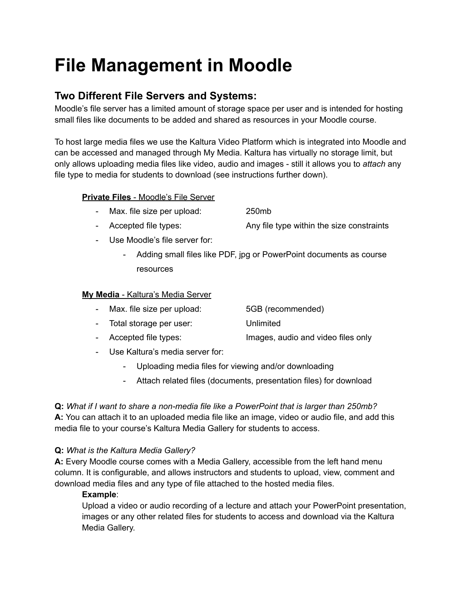# **File Management in Moodle**

### **Two Different File Servers and Systems:**

Moodle's file server has a limited amount of storage space per user and is intended for hosting small files like documents to be added and shared as resources in your Moodle course.

To host large media files we use the Kaltura Video Platform which is integrated into Moodle and can be accessed and managed through My Media. Kaltura has virtually no storage limit, but only allows uploading media files like video, audio and images - still it allows you to *attach* any file type to media for students to download (see instructions further down).

#### **Private Files** - Moodle's File Server

- Max. file size per upload: 250mb
	-
- Accepted file types: Any file type within the size constraints
- Use Moodle's file server for:
	- Adding small files like PDF, jpg or PowerPoint documents as course resources

#### **My Media** - Kaltura's Media Server

- Max. file size per upload: 5GB (recommended)
- Total storage per user: Unlimited
- Accepted file types: Images, audio and video files only
- Use Kaltura's media server for:
	- Uploading media files for viewing and/or downloading
	- Attach related files (documents, presentation files) for download

**Q:** *What if I want to share a non-media file like a PowerPoint that is larger than 250mb?* **A:** You can attach it to an uploaded media file like an image, video or audio file, and add this media file to your course's Kaltura Media Gallery for students to access.

#### **Q:** *What is the Kaltura Media Gallery?*

**A:** Every Moodle course comes with a Media Gallery, accessible from the left hand menu column. It is configurable, and allows instructors and students to upload, view, comment and download media files and any type of file attached to the hosted media files.

#### **Example**:

Upload a video or audio recording of a lecture and attach your PowerPoint presentation, images or any other related files for students to access and download via the Kaltura Media Gallery.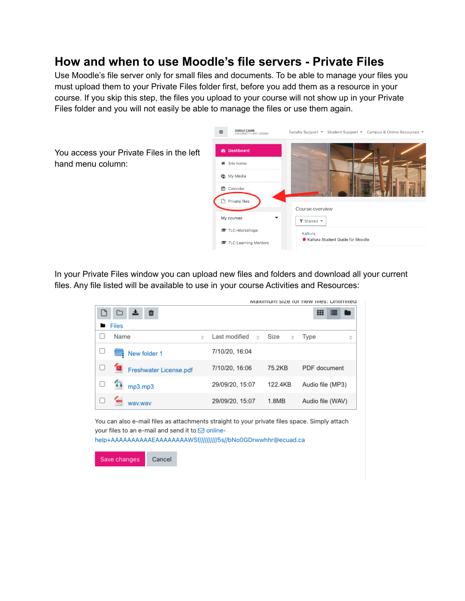## **How and when to use Moodle's file servers - Private Files**

Use Moodle's file server only for small files and documents. To be able to manage your files you must upload them to your Private Files folder first, before you add them as a resource in your course. If you skip this step, the files you upload to your course will not show up in your Private Files folder and you will not easily be able to manage the files or use them again.



In your Private Files window you can upload new files and folders and download all your current files. Any file listed will be available to use in your course Activities and Resources:

|              |                        |   |                                |           | Maximum size for new nies: Unimited |  |  |
|--------------|------------------------|---|--------------------------------|-----------|-------------------------------------|--|--|
|              | 血                      |   |                                |           | ⊞                                   |  |  |
| <b>Files</b> |                        |   |                                |           |                                     |  |  |
|              | Name                   | ÷ | Last modified<br>$\Rightarrow$ | Size<br>÷ | Type<br>÷                           |  |  |
|              | New folder 1           |   | 7/10/20, 16:04                 |           |                                     |  |  |
|              | Freshwater License.pdf |   | 7/10/20, 16:06                 | 75.2KB    | PDF document                        |  |  |
|              | mp3.mp3                |   | 29/09/20, 15:07                | 122.4KB   | Audio file (MP3)                    |  |  |
|              | way.way                |   | 29/09/20, 15:07                | 1.8MB     | Audio file (WAV)                    |  |  |

You can also e-mail files as attachments straight to your private files space. Simply attach your files to an e-mail and send it to **S** onlinehelp+AAAAAAAAAAEAAAAAAAAWSf//////////5s//bNo0GDrwwhhr@ecuad.ca

Save changes Cancel

hand menu column: